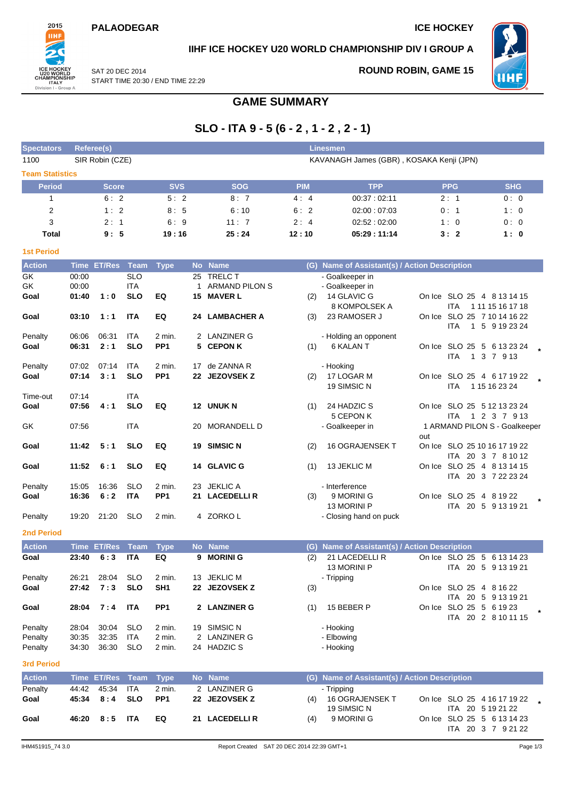## **PALAODEGAR ICE HOCKEY**



## **IIHF ICE HOCKEY U20 WORLD CHAMPIONSHIP DIV I GROUP A**

SAT 20 DEC 2014 START TIME 20:30 / END TIME 22:29 **ROUND ROBIN, GAME 15**



# **GAME SUMMARY**

# **SLO - ITA 9 - 5 (6 - 2 , 1 - 2 , 2 - 1)**

| <b>Spectators</b>      | Referee(s)     |                 |                          | <b>Linesmen</b> |         |                                  |            |                                               |                                           |                               |  |  |  |
|------------------------|----------------|-----------------|--------------------------|-----------------|---------|----------------------------------|------------|-----------------------------------------------|-------------------------------------------|-------------------------------|--|--|--|
| 1100                   |                | SIR Robin (CZE) |                          |                 |         |                                  |            | KAVANAGH James (GBR), KOSAKA Kenji (JPN)      |                                           |                               |  |  |  |
| <b>Team Statistics</b> |                |                 |                          |                 |         |                                  |            |                                               |                                           |                               |  |  |  |
| <b>Period</b>          |                | <b>Score</b>    |                          | <b>SVS</b>      |         | <b>SOG</b>                       | <b>PIM</b> | <b>TPP</b>                                    | <b>PPG</b>                                | <b>SHG</b>                    |  |  |  |
| $\mathbf{1}$           |                | 6:2             |                          | 5:2             |         | 8:7                              | 4:4        | 00:37:02:11                                   | 2:1                                       | 0:0                           |  |  |  |
| $\overline{2}$         |                | 1:2             |                          | 8:5             |         | 6:10                             | 6:2        | 02:00:07:03                                   | 0:1                                       | 1:0                           |  |  |  |
| 3                      |                | 2:1             |                          | 6:9             |         | 11:7                             | 2:4        | 02:52:02:00                                   | 1:0                                       | 0:0                           |  |  |  |
| <b>Total</b>           |                | 9:5             |                          | 19:16           |         | 25:24                            | 12:10      | 05:29:11:14                                   | 3:2                                       | 1:0                           |  |  |  |
|                        |                |                 |                          |                 |         |                                  |            |                                               |                                           |                               |  |  |  |
| <b>1st Period</b>      |                |                 |                          |                 |         |                                  |            |                                               |                                           |                               |  |  |  |
| <b>Action</b>          | <b>Time</b>    | <b>ET/Res</b>   | <b>Team</b>              | <b>Type</b>     |         | No Name                          |            | (G) Name of Assistant(s) / Action Description |                                           |                               |  |  |  |
| GK<br>GK               | 00:00<br>00:00 |                 | <b>SLO</b><br><b>ITA</b> |                 | 25<br>1 | <b>TRELC T</b><br>ARMAND PILON S |            | - Goalkeeper in<br>- Goalkeeper in            |                                           |                               |  |  |  |
| Goal                   | 01:40          | 1:0             | <b>SLO</b>               | EQ              |         | <b>15 MAVER L</b>                | (2)        | 14 GLAVIC G                                   | On Ice SLO 25 4 8 13 14 15                |                               |  |  |  |
|                        |                |                 |                          |                 |         |                                  |            | 8 KOMPOLSEK A                                 | <b>ITA</b>                                | 1 11 15 16 17 18              |  |  |  |
| Goal                   | 03:10          | 1:1             | <b>ITA</b>               | EQ              |         | 24 LAMBACHER A                   | (3)        | 23 RAMOSER J                                  | On Ice SLO 25 7 10 14 16 22               |                               |  |  |  |
|                        |                |                 |                          |                 |         |                                  |            |                                               | <b>ITA</b>                                | 1 5 9 19 23 24                |  |  |  |
| Penalty                | 06:06          | 06:31           | ITA                      | 2 min.          |         | 2 LANZINER G                     |            | - Holding an opponent                         |                                           |                               |  |  |  |
| Goal                   | 06:31          | 2:1             | <b>SLO</b>               | PP <sub>1</sub> | 5.      | <b>CEPON K</b>                   | (1)        | 6 KALAN T                                     | On Ice SLO 25 5 6 13 23 24<br><b>ITA</b>  | 1 3 7 9 13                    |  |  |  |
| Penalty                | 07:02          | 07:14           | ITA                      | 2 min.          |         | 17 de ZANNA R                    |            | - Hooking                                     |                                           |                               |  |  |  |
| Goal                   | 07:14          | 3:1             | <b>SLO</b>               | PP <sub>1</sub> |         | 22 JEZOVSEK Z                    | (2)        | 17 LOGAR M                                    | On Ice SLO 25 4 6 17 19 22                |                               |  |  |  |
|                        |                |                 |                          |                 |         |                                  |            | 19 SIMSIC N                                   | <b>ITA</b>                                | 1 15 16 23 24                 |  |  |  |
| Time-out               | 07:14          |                 | <b>ITA</b>               |                 |         |                                  |            |                                               |                                           |                               |  |  |  |
| Goal                   | 07:56          | 4:1             | <b>SLO</b>               | EQ              |         | 12 UNUK N                        | (1)        | 24 HADZIC S<br>5 CEPON K                      | On Ice SLO 25 5 12 13 23 24<br><b>ITA</b> | 1 2 3 7 9 13                  |  |  |  |
| GK                     | 07:56          |                 | ITA                      |                 | 20      | MORANDELL D                      |            | - Goalkeeper in                               |                                           | 1 ARMAND PILON S - Goalkeeper |  |  |  |
|                        |                |                 |                          |                 |         |                                  |            |                                               | out                                       |                               |  |  |  |
| Goal                   | 11:42          | 5:1             | <b>SLO</b>               | EQ              |         | 19 SIMSIC N                      | (2)        | <b>16 OGRAJENSEK T</b>                        | On Ice SLO 25 10 16 17 19 22              |                               |  |  |  |
|                        |                |                 |                          |                 |         |                                  |            |                                               |                                           | ITA 20 3 7 8 10 12            |  |  |  |
| Goal                   | 11:52          | 6:1             | <b>SLO</b>               | EQ              |         | 14 GLAVIC G                      | (1)        | 13 JEKLIC M                                   | On Ice SLO 25 4 8 13 14 15                | ITA 20 3 7 22 23 24           |  |  |  |
| Penalty                | 15:05          | 16:36           | <b>SLO</b>               | 2 min.          |         | 23 JEKLIC A                      |            | - Interference                                |                                           |                               |  |  |  |
| Goal                   | 16:36          | 6:2             | <b>ITA</b>               | PP <sub>1</sub> |         | 21 LACEDELLIR                    | (3)        | 9 MORINI G                                    | On Ice SLO 25 4 8 19 22                   |                               |  |  |  |
|                        |                |                 |                          |                 |         |                                  |            | 13 MORINI P                                   |                                           | ITA 20 5 9 13 19 21           |  |  |  |
| Penalty                | 19:20          | 21:20           | <b>SLO</b>               | 2 min.          |         | 4 ZORKOL                         |            | - Closing hand on puck                        |                                           |                               |  |  |  |
| <b>2nd Period</b>      |                |                 |                          |                 |         |                                  |            |                                               |                                           |                               |  |  |  |
| <b>Action</b>          |                | Time ET/Res     | <b>Team</b>              | <b>Type</b>     |         | No Name                          |            | (G) Name of Assistant(s) / Action Description |                                           |                               |  |  |  |
| Goal                   | 23:40          | 6:3             | <b>ITA</b>               | EQ              | 9       | <b>MORINI G</b>                  | (2)        | 21 LACEDELLI R                                | On Ice SLO 25 5 6 13 14 23                |                               |  |  |  |
|                        |                |                 |                          |                 |         |                                  |            | 13 MORINI P                                   |                                           | ITA 20 5 9 13 19 21           |  |  |  |
| Penalty                | 26:21          | 28:04           | <b>SLO</b>               | 2 min.          |         | 13 JEKLIC M                      |            | - Tripping                                    |                                           |                               |  |  |  |
| Goal                   | 27:42          | 7:3             | <b>SLO</b>               | SH <sub>1</sub> |         | 22 JEZOVSEK Z                    | (3)        |                                               | On Ice SLO 25 4 8 16 22                   |                               |  |  |  |
|                        |                |                 |                          |                 |         |                                  |            |                                               |                                           | ITA 20 5 9 13 19 21           |  |  |  |
| Goal                   | 28:04          | 7:4             | <b>ITA</b>               | PP <sub>1</sub> |         | 2 LANZINER G                     | (1)        | 15 BEBER P                                    | On Ice SLO 25 5 6 19 23                   | ITA 20 2 8 10 11 15           |  |  |  |
| Penalty                | 28:04          | 30:04           | <b>SLO</b>               | 2 min.          |         | 19 SIMSIC N                      |            | - Hooking                                     |                                           |                               |  |  |  |
| Penalty                | 30:35          | 32:35           | ITA                      | 2 min.          |         | 2 LANZINER G                     |            | - Elbowing                                    |                                           |                               |  |  |  |
| Penalty                | 34:30          | 36:30           | <b>SLO</b>               | 2 min.          |         | 24 HADZIC S                      |            | - Hooking                                     |                                           |                               |  |  |  |
| <b>3rd Period</b>      |                |                 |                          |                 |         |                                  |            |                                               |                                           |                               |  |  |  |
| <b>Action</b>          |                | Time ET/Res     | <b>Team</b>              | <b>Type</b>     |         | No Name                          |            | (G) Name of Assistant(s) / Action Description |                                           |                               |  |  |  |
| Penalty                | 44:42          | 45:34           | ITA                      | 2 min.          |         | 2 LANZINER G                     |            | - Tripping                                    |                                           |                               |  |  |  |
| Goal                   | 45:34          | 8:4             | <b>SLO</b>               | PP <sub>1</sub> |         | 22 JEZOVSEK Z                    | (4)        | 16 OGRAJENSEK T                               |                                           | On Ice SLO 25 4 16 17 19 22 . |  |  |  |
|                        |                |                 |                          |                 |         |                                  |            | 19 SIMSIC N                                   |                                           | ITA 20 5 19 21 22             |  |  |  |
| Goal                   | 46:20          | 8:5             | <b>ITA</b>               | EQ              |         | 21 LACEDELLIR                    | (4)        | 9 MORINI G                                    | On Ice SLO 25 5 6 13 14 23                |                               |  |  |  |
|                        |                |                 |                          |                 |         |                                  |            |                                               |                                           | ITA 20 3 7 9 21 22            |  |  |  |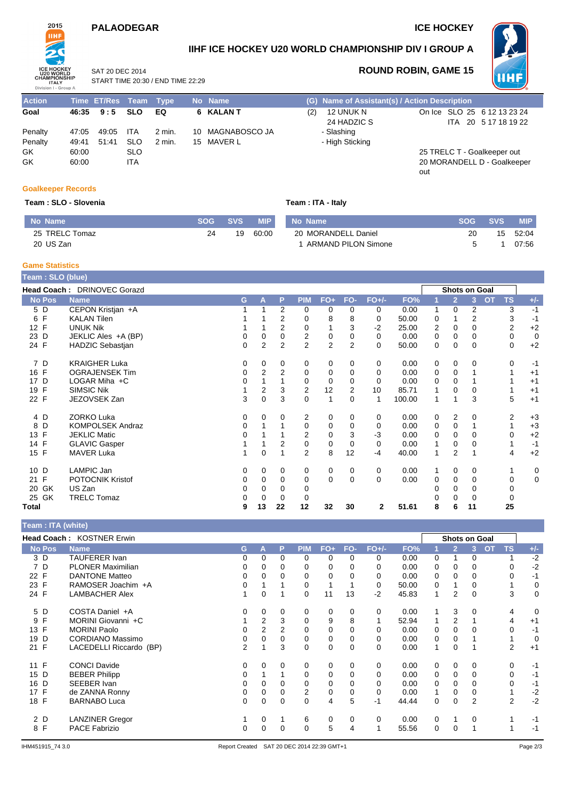## **PALAODEGAR ICE HOCKEY**



**IIHF ICE HOCKEY U20 WORLD CHAMPIONSHIP DIV I GROUP A**



SAT 20 DEC 2014 START TIME 20:30 / END TIME 22:29

## **ROUND ROBIN, GAME 15**

| <b>Action</b> |       | Time ET/Res Team Type |            |          | No Name          |     | (G) Name of Assistant(s) / Action Description |     |                             |
|---------------|-------|-----------------------|------------|----------|------------------|-----|-----------------------------------------------|-----|-----------------------------|
| Goal          | 46:35 | 9:5                   | <b>SLO</b> | EQ       | 6 KALAN T        | (2) | 12 UNUK N                                     |     | On Ice SLO 25 6 12 13 23 24 |
|               |       |                       |            |          |                  |     | 24 HADZIC S                                   |     | ITA 20 5 17 18 19 22        |
| Penalty       | 47:05 | 49:05                 | ITA        | 2 min.   | 10 MAGNABOSCO JA |     | - Slashing                                    |     |                             |
| Penalty       | 49.41 | 51:41                 | <b>SLO</b> | $2$ min. | 15 MAVER L       |     | - High Sticking                               |     |                             |
| GK            | 60:00 |                       | <b>SLO</b> |          |                  |     |                                               |     | 25 TRELC T - Goalkeeper out |
| GK            | 60:00 |                       | <b>ITA</b> |          |                  |     |                                               |     | 20 MORANDELL D - Goalkeeper |
|               |       |                       |            |          |                  |     |                                               | out |                             |

#### **Goalkeeper Records**

#### **Team : SLO - Slovenia**

| Team: ITA - Italy |  |  |
|-------------------|--|--|
|                   |  |  |

| No Name        | SOG | SVS | <b>MIP</b> | No Name                    | SOG | <b>SVS</b> | <b>MIP</b> |
|----------------|-----|-----|------------|----------------------------|-----|------------|------------|
| 25 TRELC Tomaz | 24  | 19  | 60:00      | 20 MORANDELL Daniel        | 20  | 15         | 52:04      |
| 20 US Zan      |     |     |            | <b>ARMAND PILON Simone</b> |     |            | 07:56      |

### **Game Statistics**

| Team : SLO (blue) |                             |          |                |                |                |                |                |          |        |   |                      |                |    |           |             |
|-------------------|-----------------------------|----------|----------------|----------------|----------------|----------------|----------------|----------|--------|---|----------------------|----------------|----|-----------|-------------|
|                   | Head Coach: DRINOVEC Gorazd |          |                |                |                |                |                |          |        |   | <b>Shots on Goal</b> |                |    |           |             |
| <b>No Pos</b>     | <b>Name</b>                 | G        | A              | P              | <b>PIM</b>     | $FO+$          | FO-            | $FO+/-$  | FO%    |   | $\overline{2}$       | $\overline{3}$ | OT | <b>TS</b> | $+/-$       |
| 5 D               | CEPON Kristjan +A           |          |                | 2              | 0              | 0              | 0              | 0        | 0.00   |   | $\Omega$             | 2              |    | 3         | $-1$        |
| 6 F               | <b>KALAN Tilen</b>          |          |                | $\overline{2}$ | 0              | 8              | 8              | $\Omega$ | 50.00  | 0 |                      | $\overline{2}$ |    | 3         | $-1$        |
| 12 F              | <b>UNUK Nik</b>             |          |                | $\overline{2}$ | 0              |                | 3              | $-2$     | 25.00  | 2 | 0                    | 0              |    | 2         | $+2$        |
| 23 D              | JEKLIC Ales +A (BP)         | 0        | 0              | 0              | 2              | 0              | 0              | 0        | 0.00   | 0 | 0                    | 0              |    | 0         | $\mathbf 0$ |
| 24 F              | <b>HADZIC Sebastjan</b>     | $\Omega$ | $\overline{2}$ | $\overline{2}$ | $\overline{2}$ | $\overline{2}$ | $\overline{2}$ | $\Omega$ | 50.00  | 0 | $\mathbf 0$          | $\Omega$       |    | 0         | $+2$        |
| 7 D               | <b>KRAIGHER Luka</b>        | 0        | 0              | 0              | 0              | 0              | 0              | 0        | 0.00   | 0 | 0                    | 0              |    | 0         | $-1$        |
| 16 F              | <b>OGRAJENSEK Tim</b>       | 0        | $\overline{2}$ | $\overline{2}$ | 0              | 0              | 0              | 0        | 0.00   | 0 | 0                    |                |    |           | $+1$        |
| 17 D              | LOGAR Miha +C               | 0        |                |                | 0              | $\mathbf 0$    | 0              | $\Omega$ | 0.00   | 0 | 0                    |                |    |           | $+1$        |
| F<br>19           | <b>SIMSIC Nik</b>           |          | 2              | 3              | 2              | 12             | 2              | 10       | 85.71  |   | 0                    | 0              |    |           | $+1$        |
| 22 F              | JEZOVSEK Zan                | 3        | $\Omega$       | 3              | $\Omega$       | 1              | 0              | 1        | 100.00 | 1 |                      | 3              |    | 5         | $+1$        |
| 4 D               | <b>ZORKO Luka</b>           | 0        | 0              | 0              | 2              | 0              | 0              | 0        | 0.00   | 0 | $\overline{2}$       | 0              |    | 2         | $+3$        |
| D<br>8            | <b>KOMPOLSEK Andraz</b>     | 0        |                |                | 0              | 0              | 0              | 0        | 0.00   | 0 | 0                    |                |    |           | $+3$        |
| F<br>13           | <b>JEKLIC Matic</b>         | 0        |                |                | 2              | 0              | 3              | $-3$     | 0.00   | 0 | 0                    | 0              |    |           | $+2$        |
| 14 F              | <b>GLAVIC Gasper</b>        |          |                | $\overline{2}$ | 0              | 0              | 0              | 0        | 0.00   | 1 | 0                    | 0              |    |           | $-1$        |
| 15 F              | <b>MAVER Luka</b>           | 1        | 0              |                | 2              | 8              | 12             | $-4$     | 40.00  | 1 | $\overline{2}$       |                |    | 4         | $+2$        |
| 10 D              | LAMPIC Jan                  | 0        | 0              | 0              | 0              | 0              | 0              | 0        | 0.00   | 1 | $\mathbf 0$          | 0              |    |           | 0           |
| 21 F              | POTOCNIK Kristof            | 0        | 0              | $\Omega$       | 0              | $\mathbf 0$    | $\Omega$       | $\Omega$ | 0.00   | 0 | 0                    | 0              |    | 0         | $\mathbf 0$ |
| 20 GK             | US Zan                      | 0        | 0              | 0              | 0              |                |                |          |        |   | $\Omega$             | 0              |    | 0         |             |
| 25 GK             | <b>TRELC Tomaz</b>          | 0        | 0              | 0              | 0              |                |                |          |        |   | $\Omega$             | 0              |    | 0         |             |
| Total             |                             | 9        | 13             | 22             | 12             | 32             | 30             | 2        | 51.61  | 8 | 6                    | 11             |    | 25        |             |

|                    | <b>Feam: ITA (white)</b>  |          |                |                |            |             |          |          |       |          |                |                      |                |                |
|--------------------|---------------------------|----------|----------------|----------------|------------|-------------|----------|----------|-------|----------|----------------|----------------------|----------------|----------------|
|                    | Head Coach: KOSTNER Erwin |          |                |                |            |             |          |          |       |          |                | <b>Shots on Goal</b> |                |                |
| <b>No Pos</b>      | <b>Name</b>               | G        | A              | P              | <b>PIM</b> | FO+         | FO-      | $FO+/-$  | FO%   |          | $\overline{2}$ | <b>OT</b><br>3       | <b>TS</b>      | $+/-$          |
| 3 D                | <b>TAUFERER Ivan</b>      | 0        | $\Omega$       | 0              | 0          | 0           | 0        | 0        | 0.00  | 0        |                | 0                    | 1              | $-2$           |
| 7 D                | <b>PLONER Maximilian</b>  | 0        | 0              | 0              | 0          | 0           |          | 0        | 0.00  | 0        | 0              |                      | 0              | $-2$           |
| 22 F               | <b>DANTONE Matteo</b>     | 0        | 0              | 0              | $\Omega$   | 0           |          | 0        | 0.00  | 0        | 0              | 0                    | $\Omega$       | $-1$           |
| 23 F               | RAMOSER Joachim +A        | 0        |                |                | 0          | 1           |          | 0        | 50.00 | 0        |                |                      |                | 0              |
| 24 F               | <b>LAMBACHER Alex</b>     |          | 0              |                | 0          | 11          | 13       | $-2$     | 45.83 | 1        | 2              | 0                    | 3              | $\mathbf 0$    |
| 5 D                | COSTA Daniel +A           | 0        | 0              | 0              | 0          | 0           | $\Omega$ | 0        | 0.00  |          | 3              | $\Omega$             | 4              | $\overline{0}$ |
| F<br>9             | MORINI Giovanni +C        |          | $\overline{2}$ | 3              | 0          | 9           | 8        |          | 52.94 |          | 2              |                      | 4              | $+1$           |
| F<br>13            | <b>MORINI Paolo</b>       | 0        | 2              | $\overline{2}$ | 0          | $\mathbf 0$ | $\Omega$ | 0        | 0.00  | $\Omega$ | $\Omega$       | <sup>0</sup>         | $\Omega$       | $-1$           |
| D<br>19            | <b>CORDIANO Massimo</b>   | 0        | 0              | 0              | 0          | 0           | 0        | 0        | 0.00  | 0        | 0              |                      | 1              | 0              |
| $\mathsf{F}$<br>21 | LACEDELLI Riccardo (BP)   | 2        |                | 3              | 0          | $\mathbf 0$ | $\Omega$ | $\Omega$ | 0.00  | 1        | 0              |                      | $\overline{2}$ | $+1$           |
| F<br>11            | <b>CONCI Davide</b>       | 0        | $\Omega$       | 0              | 0          | 0           | $\Omega$ | 0        | 0.00  | 0        | 0              | 0                    | 0              | $-1$           |
| 15 D               | <b>BEBER Philipp</b>      | $\Omega$ |                |                | 0          | $\mathbf 0$ | $\Omega$ | 0        | 0.00  | 0        | 0              | 0                    | 0              | $-1$           |
| 16 D               | SEEBER Ivan               | 0        | 0              | 0              | 0          | 0           | 0        | 0        | 0.00  | 0        | 0              | 0                    | 0              | $-1$           |
| 17 F               | de ZANNA Ronny            | 0        | 0              | 0              | 2          | 0           | 0        | 0        | 0.00  |          | 0              | 0                    | 1              | $-2$           |
| 18 F               | <b>BARNABO Luca</b>       | 0        | 0              | 0              | 0          | 4           | 5        | -1       | 44.44 | 0        | 0              | 2                    | $\overline{2}$ | $-2$           |
| 2 D                | <b>LANZINER Gregor</b>    |          | 0              |                | 6          | 0           | 0        | 0        | 0.00  | 0        |                | 0                    | 1              | $-1$           |
| 8 F                | <b>PACE Fabrizio</b>      | 0        | 0              | 0              | 0          | 5           | 4        |          | 55.56 | 0        | 0              |                      |                | $-1$           |